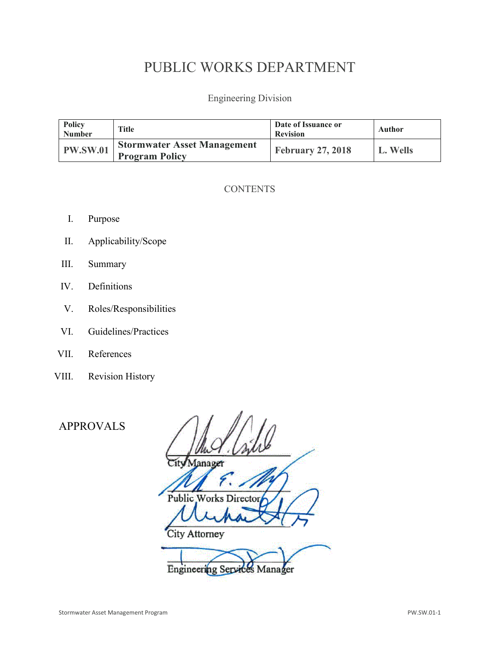# PUBLIC WORKS DEPARTMENT

Engineering Division

| Policy<br><b>Number</b> | <b>Title</b>                                                | Date of Issuance or<br><b>Revision</b> | Author   |
|-------------------------|-------------------------------------------------------------|----------------------------------------|----------|
| <b>PW.SW.01</b>         | <b>Stormwater Asset Management</b><br><b>Program Policy</b> | <b>February 27, 2018</b>               | L. Wells |

# **CONTENTS**

- I. Purpose
- II. Applicability/Scope
- III. Summary
- IV. Definitions
- V. Roles/Responsibilities
- VI. Guidelines/Practices
- VII. References
- VIII. Revision History

APPROVALS

| Aanager                         |
|---------------------------------|
|                                 |
| Public Works Director           |
|                                 |
| City Attorney                   |
|                                 |
| ng Services Manager<br>Engineer |
|                                 |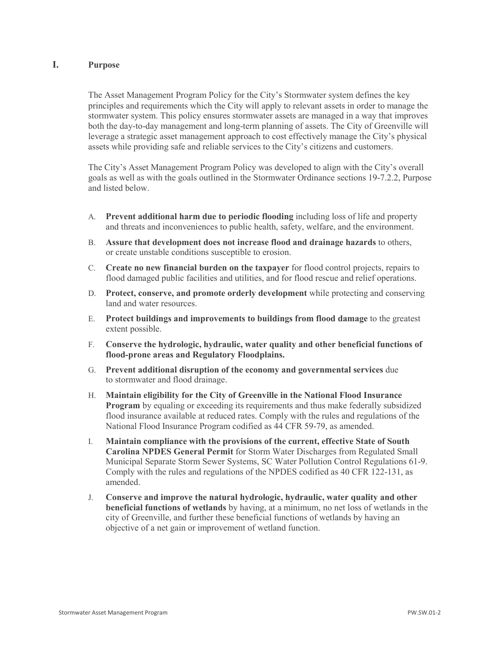### **I. Purpose**

The Asset Management Program Policy for the City's Stormwater system defines the key principles and requirements which the City will apply to relevant assets in order to manage the stormwater system. This policy ensures stormwater assets are managed in a way that improves both the day-to-day management and long-term planning of assets. The City of Greenville will leverage a strategic asset management approach to cost effectively manage the City's physical assets while providing safe and reliable services to the City's citizens and customers.

The City's Asset Management Program Policy was developed to align with the City's overall goals as well as with the goals outlined in the Stormwater Ordinance sections 19-7.2.2, Purpose and listed below.

- A. **Prevent additional harm due to periodic flooding** including loss of life and property and threats and inconveniences to public health, safety, welfare, and the environment.
- B. **Assure that development does not increase flood and drainage hazards** to others, or create unstable conditions susceptible to erosion.
- C. **Create no new financial burden on the taxpayer** for flood control projects, repairs to flood damaged public facilities and utilities, and for flood rescue and relief operations.
- D. **Protect, conserve, and promote orderly development** while protecting and conserving land and water resources.
- E. **Protect buildings and improvements to buildings from flood damage** to the greatest extent possible.
- F. **Conserve the hydrologic, hydraulic, water quality and other beneficial functions of flood-prone areas and Regulatory Floodplains.**
- G. **Prevent additional disruption of the economy and governmental services** due to stormwater and flood drainage.
- H. **Maintain eligibility for the City of Greenville in the National Flood Insurance Program** by equaling or exceeding its requirements and thus make federally subsidized flood insurance available at reduced rates. Comply with the rules and regulations of the National Flood Insurance Program codified as 44 CFR 59-79, as amended.
- I. **Maintain compliance with the provisions of the current, effective State of South Carolina NPDES General Permit** for Storm Water Discharges from Regulated Small Municipal Separate Storm Sewer Systems, SC Water Pollution Control Regulations 61-9. Comply with the rules and regulations of the NPDES codified as 40 CFR 122-131, as amended.
- J. **Conserve and improve the natural hydrologic, hydraulic, water quality and other beneficial functions of wetlands** by having, at a minimum, no net loss of wetlands in the city of Greenville, and further these beneficial functions of wetlands by having an objective of a net gain or improvement of wetland function.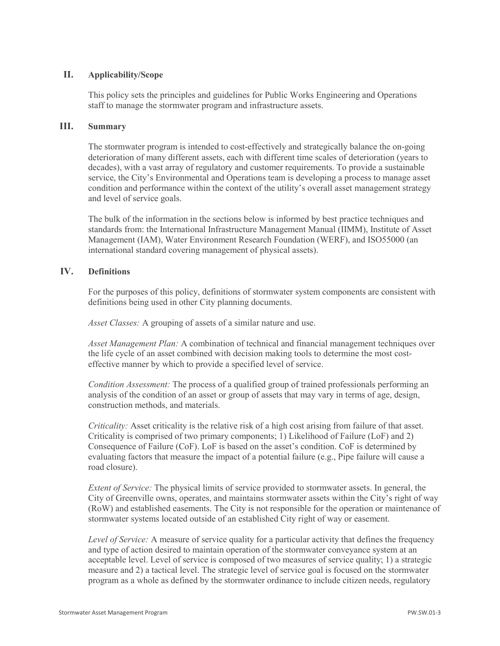# **II. Applicability/Scope**

This policy sets the principles and guidelines for Public Works Engineering and Operations staff to manage the stormwater program and infrastructure assets.

# **III. Summary**

The stormwater program is intended to cost-effectively and strategically balance the on-going deterioration of many different assets, each with different time scales of deterioration (years to decades), with a vast array of regulatory and customer requirements. To provide a sustainable service, the City's Environmental and Operations team is developing a process to manage asset condition and performance within the context of the utility's overall asset management strategy and level of service goals.

The bulk of the information in the sections below is informed by best practice techniques and standards from: the International Infrastructure Management Manual (IIMM), Institute of Asset Management (IAM), Water Environment Research Foundation (WERF), and ISO55000 (an [international standard](https://en.wikipedia.org/wiki/International_standard) covering management of physical assets).

# **IV. Definitions**

For the purposes of this policy, definitions of stormwater system components are consistent with definitions being used in other City planning documents.

*Asset Classes:* A grouping of assets of a similar nature and use.

*Asset Management Plan:* A combination of technical and financial management techniques over the life cycle of an asset combined with decision making tools to determine the most costeffective manner by which to provide a specified level of service.

*Condition Assessment:* The process of a qualified group of trained professionals performing an analysis of the condition of an asset or group of assets that may vary in terms of age, design, construction methods, and materials.

*Criticality:* Asset criticality is the relative risk of a high cost arising from failure of that asset. Criticality is comprised of two primary components; 1) Likelihood of Failure (LoF) and 2) Consequence of Failure (CoF). LoF is based on the asset's condition. CoF is determined by evaluating factors that measure the impact of a potential failure (e.g., Pipe failure will cause a road closure).

*Extent of Service:* The physical limits of service provided to stormwater assets. In general, the City of Greenville owns, operates, and maintains stormwater assets within the City's right of way (RoW) and established easements. The City is not responsible for the operation or maintenance of stormwater systems located outside of an established City right of way or easement.

*Level of Service:* A measure of service quality for a particular activity that defines the frequency and type of action desired to maintain operation of the stormwater conveyance system at an acceptable level. Level of service is composed of two measures of service quality; 1) a strategic measure and 2) a tactical level. The strategic level of service goal is focused on the stormwater program as a whole as defined by the stormwater ordinance to include citizen needs, regulatory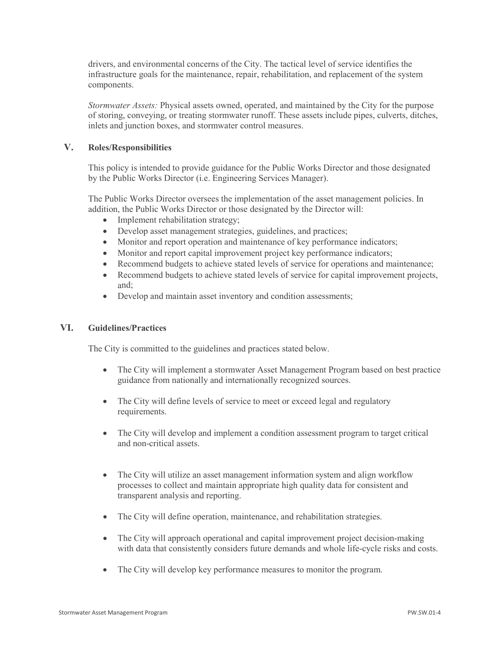drivers, and environmental concerns of the City. The tactical level of service identifies the infrastructure goals for the maintenance, repair, rehabilitation, and replacement of the system components.

*Stormwater Assets:* Physical assets owned, operated, and maintained by the City for the purpose of storing, conveying, or treating stormwater runoff. These assets include pipes, culverts, ditches, inlets and junction boxes, and stormwater control measures.

# **V. Roles/Responsibilities**

This policy is intended to provide guidance for the Public Works Director and those designated by the Public Works Director (i.e. Engineering Services Manager).

The Public Works Director oversees the implementation of the asset management policies. In addition, the Public Works Director or those designated by the Director will:

- Implement rehabilitation strategy;
- Develop asset management strategies, guidelines, and practices;
- Monitor and report operation and maintenance of key performance indicators;
- Monitor and report capital improvement project key performance indicators;
- Recommend budgets to achieve stated levels of service for operations and maintenance;
- Recommend budgets to achieve stated levels of service for capital improvement projects, and;
- Develop and maintain asset inventory and condition assessments;

# **VI. Guidelines/Practices**

The City is committed to the guidelines and practices stated below.

- The City will implement a stormwater Asset Management Program based on best practice guidance from nationally and internationally recognized sources.
- The City will define levels of service to meet or exceed legal and regulatory requirements.
- The City will develop and implement a condition assessment program to target critical and non-critical assets.
- The City will utilize an asset management information system and align workflow processes to collect and maintain appropriate high quality data for consistent and transparent analysis and reporting.
- The City will define operation, maintenance, and rehabilitation strategies.
- The City will approach operational and capital improvement project decision-making with data that consistently considers future demands and whole life-cycle risks and costs.
- The City will develop key performance measures to monitor the program.